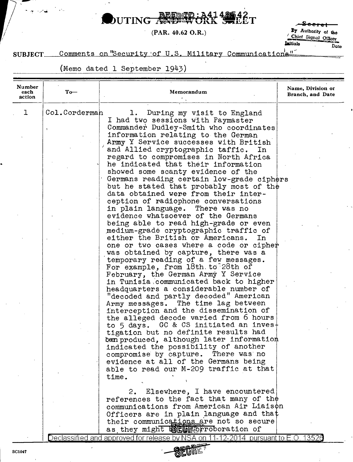buTING REDED: A41 **最42<br>第221** 

(PAR.  $40.62$  O.R.)

<del>Seerol</del> By Authority of the Chief Signal Officer **Laitigle** Date

## Comments on "Security of U.S. Military Communications" SUBJECT\_

(Memo dated 1 September 1943)

| Number         |               |                                                                                   |                                       |
|----------------|---------------|-----------------------------------------------------------------------------------|---------------------------------------|
| each<br>action | $To-$         | Memorandum                                                                        | Name, Division or<br>Branch, and Date |
| ı              | Col.Corderman | During my visit to England<br>1.                                                  |                                       |
|                |               | I had two sessions with Paymaster                                                 |                                       |
|                |               | Commander Dudley-Smith who coordinates                                            |                                       |
|                |               | information relating to the German                                                |                                       |
|                |               | Army Y Service successes with British                                             |                                       |
|                |               | and Allied cryptographic taffic.<br>$\mathbf{In}$                                 |                                       |
|                |               | regard to compromises in North Africa                                             |                                       |
|                |               | he indicated that their information                                               |                                       |
|                |               | showed some scanty evidence of the                                                |                                       |
|                |               | Germans reading certain low-grade ciphers                                         |                                       |
|                |               | but he stated that probably most of the<br>data obtained were from their inter-   |                                       |
|                |               | ception of radiophone conversations                                               |                                       |
|                |               | in plain language. There was no                                                   |                                       |
|                |               | evidence whatsoever of the Germans                                                |                                       |
|                |               | being able to read high-grade or even                                             |                                       |
|                |               | medium-grade cryptographic traffic of                                             |                                       |
|                |               | either the British or Americans.<br>In.                                           |                                       |
|                |               | one or two cases where a code or cipher                                           |                                       |
|                |               | was obtained by capture, there was a                                              |                                       |
|                |               | temporary reading of a few messages.                                              |                                       |
|                |               | For example, from 18th.to 28th of<br>February, the German Army Y Service          |                                       |
|                |               | in Tunisia communicated back to higher                                            |                                       |
|                |               | headquarters a considerable number of                                             |                                       |
|                |               | "decoded and partly decoded" American                                             |                                       |
|                |               | Army messages. The time lag between                                               |                                       |
|                |               | interception and the dissemination of                                             |                                       |
|                |               | the alleged decode varied from 6 hours                                            |                                       |
|                |               | to 5 days. GC & CS initiated an inves+                                            |                                       |
|                |               | tigation but no definite results had                                              |                                       |
|                |               | been produced, although later information<br>indicated the possibility of another |                                       |
|                |               | compromise by capture. There was no                                               |                                       |
|                |               | evidence at all of the Germans being                                              |                                       |
|                |               | able to read our M-209 traffic at that                                            |                                       |
|                |               | time.                                                                             |                                       |
|                |               | 2. Elsewhere, I have encountered                                                  |                                       |
|                |               | references to the fact that many of the                                           |                                       |
|                |               | communications from American Air Liaison                                          |                                       |
|                |               | Officers are in plain language and that                                           |                                       |
|                |               | their communications are not so secure                                            |                                       |
|                |               | as they might <b>WEWHOPTODOration</b> of                                          |                                       |
|                |               | Declassified and approved for release by NSA on 11-12-2014 pursuant to E.O. 13526 |                                       |

SECRE